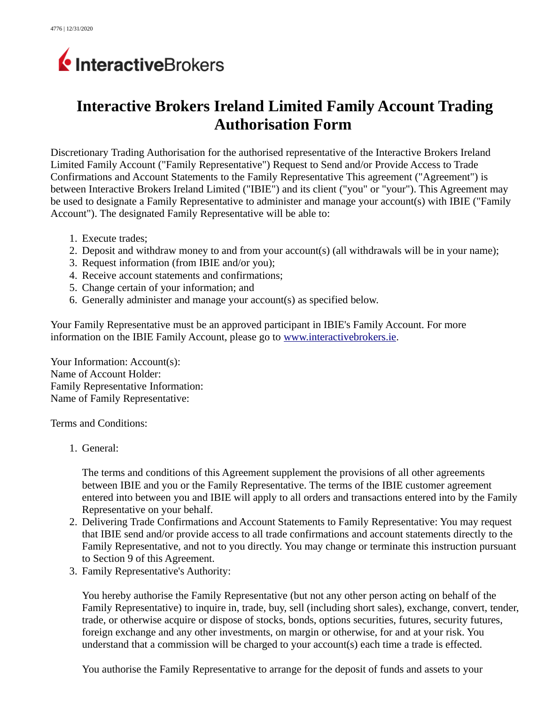## InteractiveBrokers

## **Interactive Brokers Ireland Limited Family Account Trading Authorisation Form**

Discretionary Trading Authorisation for the authorised representative of the Interactive Brokers Ireland Limited Family Account ("Family Representative") Request to Send and/or Provide Access to Trade Confirmations and Account Statements to the Family Representative This agreement ("Agreement") is between Interactive Brokers Ireland Limited ("IBIE") and its client ("you" or "your"). This Agreement may be used to designate a Family Representative to administer and manage your account(s) with IBIE ("Family Account"). The designated Family Representative will be able to:

- 1. Execute trades;
- 2. Deposit and withdraw money to and from your account(s) (all withdrawals will be in your name);
- 3. Request information (from IBIE and/or you);
- 4. Receive account statements and confirmations;
- 5. Change certain of your information; and
- 6. Generally administer and manage your account(s) as specified below.

Your Family Representative must be an approved participant in IBIE's Family Account. For more information on the IBIE Family Account, please go to [www.interactivebrokers.ie.](file:///home/dev167a/kdavidso/staged_forms/www.interactivebrokers.ie)

Your Information: Account(s): Name of Account Holder: Family Representative Information: Name of Family Representative:

Terms and Conditions:

1. General:

The terms and conditions of this Agreement supplement the provisions of all other agreements between IBIE and you or the Family Representative. The terms of the IBIE customer agreement entered into between you and IBIE will apply to all orders and transactions entered into by the Family Representative on your behalf.

- 2. Delivering Trade Confirmations and Account Statements to Family Representative: You may request that IBIE send and/or provide access to all trade confirmations and account statements directly to the Family Representative, and not to you directly. You may change or terminate this instruction pursuant to Section 9 of this Agreement.
- 3. Family Representative's Authority:

You hereby authorise the Family Representative (but not any other person acting on behalf of the Family Representative) to inquire in, trade, buy, sell (including short sales), exchange, convert, tender, trade, or otherwise acquire or dispose of stocks, bonds, options securities, futures, security futures, foreign exchange and any other investments, on margin or otherwise, for and at your risk. You understand that a commission will be charged to your account(s) each time a trade is effected.

You authorise the Family Representative to arrange for the deposit of funds and assets to your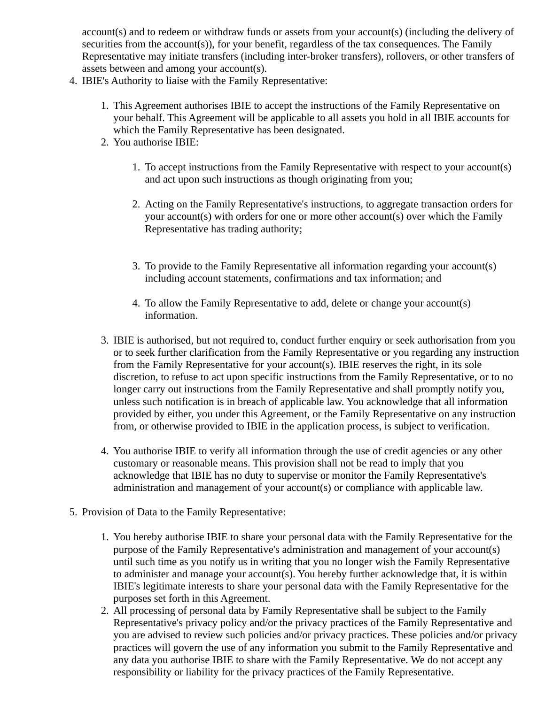account(s) and to redeem or withdraw funds or assets from your account(s) (including the delivery of securities from the account(s)), for your benefit, regardless of the tax consequences. The Family Representative may initiate transfers (including inter-broker transfers), rollovers, or other transfers of assets between and among your account(s).

- 4. IBIE's Authority to liaise with the Family Representative:
	- 1. This Agreement authorises IBIE to accept the instructions of the Family Representative on your behalf. This Agreement will be applicable to all assets you hold in all IBIE accounts for which the Family Representative has been designated.
	- 2. You authorise IBIE:
		- 1. To accept instructions from the Family Representative with respect to your account(s) and act upon such instructions as though originating from you;
		- 2. Acting on the Family Representative's instructions, to aggregate transaction orders for your account(s) with orders for one or more other account(s) over which the Family Representative has trading authority;
		- 3. To provide to the Family Representative all information regarding your account(s) including account statements, confirmations and tax information; and
		- 4. To allow the Family Representative to add, delete or change your account(s) information.
	- 3. IBIE is authorised, but not required to, conduct further enquiry or seek authorisation from you or to seek further clarification from the Family Representative or you regarding any instruction from the Family Representative for your account(s). IBIE reserves the right, in its sole discretion, to refuse to act upon specific instructions from the Family Representative, or to no longer carry out instructions from the Family Representative and shall promptly notify you, unless such notification is in breach of applicable law. You acknowledge that all information provided by either, you under this Agreement, or the Family Representative on any instruction from, or otherwise provided to IBIE in the application process, is subject to verification.
	- 4. You authorise IBIE to verify all information through the use of credit agencies or any other customary or reasonable means. This provision shall not be read to imply that you acknowledge that IBIE has no duty to supervise or monitor the Family Representative's administration and management of your account(s) or compliance with applicable law.
- 5. Provision of Data to the Family Representative:
	- 1. You hereby authorise IBIE to share your personal data with the Family Representative for the purpose of the Family Representative's administration and management of your account(s) until such time as you notify us in writing that you no longer wish the Family Representative to administer and manage your account(s). You hereby further acknowledge that, it is within IBIE's legitimate interests to share your personal data with the Family Representative for the purposes set forth in this Agreement.
	- 2. All processing of personal data by Family Representative shall be subject to the Family Representative's privacy policy and/or the privacy practices of the Family Representative and you are advised to review such policies and/or privacy practices. These policies and/or privacy practices will govern the use of any information you submit to the Family Representative and any data you authorise IBIE to share with the Family Representative. We do not accept any responsibility or liability for the privacy practices of the Family Representative.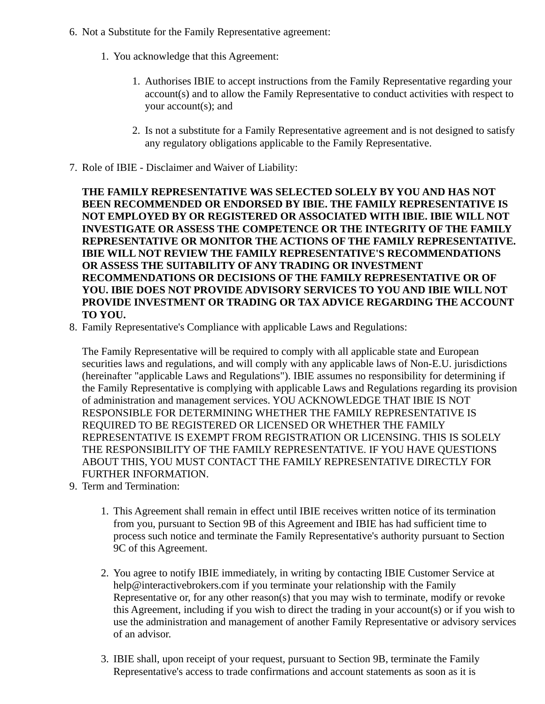- 6. Not a Substitute for the Family Representative agreement:
	- 1. You acknowledge that this Agreement:
		- 1. Authorises IBIE to accept instructions from the Family Representative regarding your account(s) and to allow the Family Representative to conduct activities with respect to your account(s); and
		- 2. Is not a substitute for a Family Representative agreement and is not designed to satisfy any regulatory obligations applicable to the Family Representative.
- 7. Role of IBIE Disclaimer and Waiver of Liability:

**THE FAMILY REPRESENTATIVE WAS SELECTED SOLELY BY YOU AND HAS NOT BEEN RECOMMENDED OR ENDORSED BY IBIE. THE FAMILY REPRESENTATIVE IS NOT EMPLOYED BY OR REGISTERED OR ASSOCIATED WITH IBIE. IBIE WILL NOT INVESTIGATE OR ASSESS THE COMPETENCE OR THE INTEGRITY OF THE FAMILY REPRESENTATIVE OR MONITOR THE ACTIONS OF THE FAMILY REPRESENTATIVE. IBIE WILL NOT REVIEW THE FAMILY REPRESENTATIVE'S RECOMMENDATIONS OR ASSESS THE SUITABILITY OF ANY TRADING OR INVESTMENT RECOMMENDATIONS OR DECISIONS OF THE FAMILY REPRESENTATIVE OR OF YOU. IBIE DOES NOT PROVIDE ADVISORY SERVICES TO YOU AND IBIE WILL NOT PROVIDE INVESTMENT OR TRADING OR TAX ADVICE REGARDING THE ACCOUNT TO YOU.** 

8. Family Representative's Compliance with applicable Laws and Regulations:

The Family Representative will be required to comply with all applicable state and European securities laws and regulations, and will comply with any applicable laws of Non-E.U. jurisdictions (hereinafter "applicable Laws and Regulations"). IBIE assumes no responsibility for determining if the Family Representative is complying with applicable Laws and Regulations regarding its provision of administration and management services. YOU ACKNOWLEDGE THAT IBIE IS NOT RESPONSIBLE FOR DETERMINING WHETHER THE FAMILY REPRESENTATIVE IS REQUIRED TO BE REGISTERED OR LICENSED OR WHETHER THE FAMILY REPRESENTATIVE IS EXEMPT FROM REGISTRATION OR LICENSING. THIS IS SOLELY THE RESPONSIBILITY OF THE FAMILY REPRESENTATIVE. IF YOU HAVE QUESTIONS ABOUT THIS, YOU MUST CONTACT THE FAMILY REPRESENTATIVE DIRECTLY FOR FURTHER INFORMATION.

- 9. Term and Termination:
	- 1. This Agreement shall remain in effect until IBIE receives written notice of its termination from you, pursuant to Section 9B of this Agreement and IBIE has had sufficient time to process such notice and terminate the Family Representative's authority pursuant to Section 9C of this Agreement.
	- 2. You agree to notify IBIE immediately, in writing by contacting IBIE Customer Service at help@interactivebrokers.com if you terminate your relationship with the Family Representative or, for any other reason(s) that you may wish to terminate, modify or revoke this Agreement, including if you wish to direct the trading in your account(s) or if you wish to use the administration and management of another Family Representative or advisory services of an advisor.
	- 3. IBIE shall, upon receipt of your request, pursuant to Section 9B, terminate the Family Representative's access to trade confirmations and account statements as soon as it is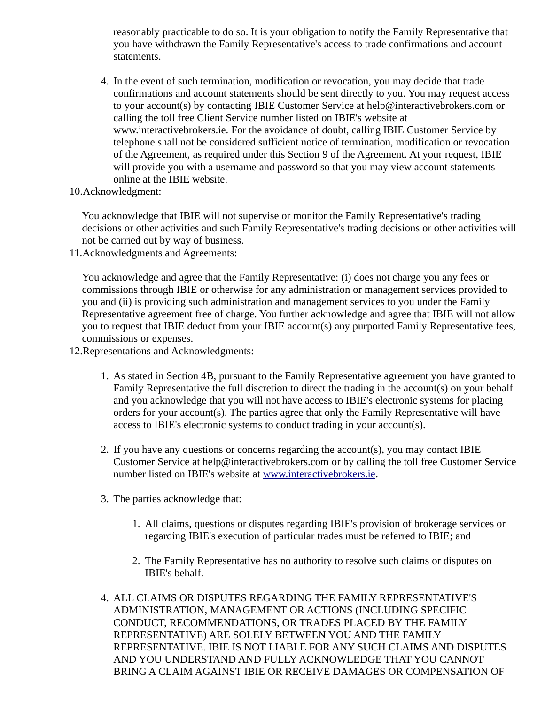reasonably practicable to do so. It is your obligation to notify the Family Representative that you have withdrawn the Family Representative's access to trade confirmations and account statements.

- 4. In the event of such termination, modification or revocation, you may decide that trade confirmations and account statements should be sent directly to you. You may request access to your account(s) by contacting IBIE Customer Service at help@interactivebrokers.com or calling the toll free Client Service number listed on IBIE's website at www.interactivebrokers.ie. For the avoidance of doubt, calling IBIE Customer Service by telephone shall not be considered sufficient notice of termination, modification or revocation of the Agreement, as required under this Section 9 of the Agreement. At your request, IBIE will provide you with a username and password so that you may view account statements online at the IBIE website.
- 10.Acknowledgment:

You acknowledge that IBIE will not supervise or monitor the Family Representative's trading decisions or other activities and such Family Representative's trading decisions or other activities will not be carried out by way of business.

11.Acknowledgments and Agreements:

You acknowledge and agree that the Family Representative: (i) does not charge you any fees or commissions through IBIE or otherwise for any administration or management services provided to you and (ii) is providing such administration and management services to you under the Family Representative agreement free of charge. You further acknowledge and agree that IBIE will not allow you to request that IBIE deduct from your IBIE account(s) any purported Family Representative fees, commissions or expenses.

12.Representations and Acknowledgments:

- 1. As stated in Section 4B, pursuant to the Family Representative agreement you have granted to Family Representative the full discretion to direct the trading in the account(s) on your behalf and you acknowledge that you will not have access to IBIE's electronic systems for placing orders for your account(s). The parties agree that only the Family Representative will have access to IBIE's electronic systems to conduct trading in your account(s).
- 2. If you have any questions or concerns regarding the account(s), you may contact IBIE Customer Service at help@interactivebrokers.com or by calling the toll free Customer Service number listed on IBIE's website at [www.interactivebrokers.ie.](file:///home/dev167a/kdavidso/staged_forms/www.interactivebrokers.ie)
- 3. The parties acknowledge that:
	- 1. All claims, questions or disputes regarding IBIE's provision of brokerage services or regarding IBIE's execution of particular trades must be referred to IBIE; and
	- 2. The Family Representative has no authority to resolve such claims or disputes on IBIE's behalf.
- 4. ALL CLAIMS OR DISPUTES REGARDING THE FAMILY REPRESENTATIVE'S ADMINISTRATION, MANAGEMENT OR ACTIONS (INCLUDING SPECIFIC CONDUCT, RECOMMENDATIONS, OR TRADES PLACED BY THE FAMILY REPRESENTATIVE) ARE SOLELY BETWEEN YOU AND THE FAMILY REPRESENTATIVE. IBIE IS NOT LIABLE FOR ANY SUCH CLAIMS AND DISPUTES AND YOU UNDERSTAND AND FULLY ACKNOWLEDGE THAT YOU CANNOT BRING A CLAIM AGAINST IBIE OR RECEIVE DAMAGES OR COMPENSATION OF